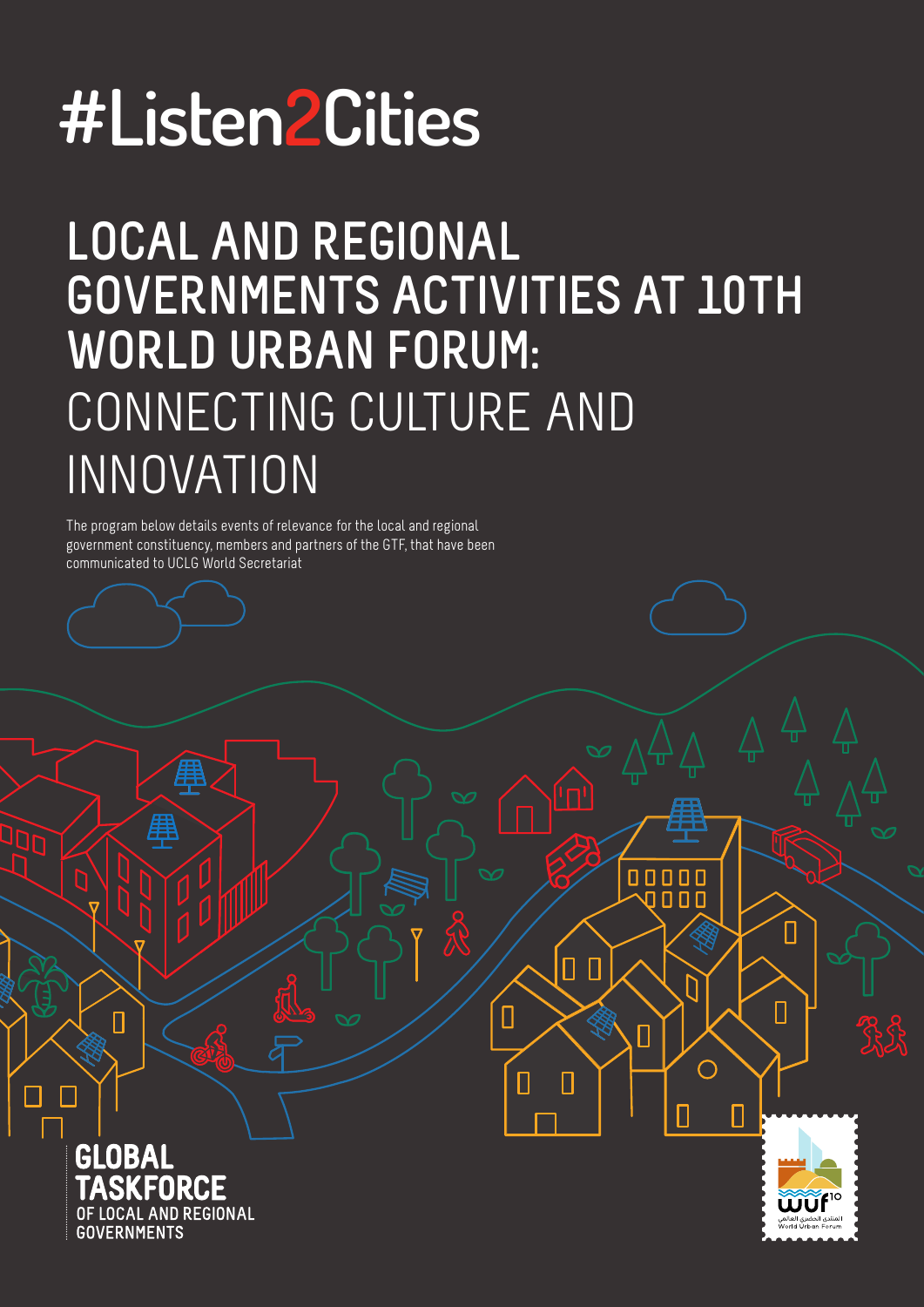# **#Listen2Cities**

## **LOCAL AND REGIONAL GOVERNMENTS ACTIVITIES AT 10TH WORLD URBAN FORUM:** CONNECTING CULTURE AND INNOVATION

The program below details events of relevance for the local and regional government constituency, members and partners of the GTF, that have been communicated to UCLG World Secretariat



П



П

00000  $n<sub>n</sub>$ 

П

 $\bigcap$ 

П

 $\overline{\Pi}$ 

 $\Box$ 

П

 $[] \centering \includegraphics[width=0.47\textwidth]{images/01.png} \caption{The first two different values of $10^{-4}$.} \label{fig:1}$ 

П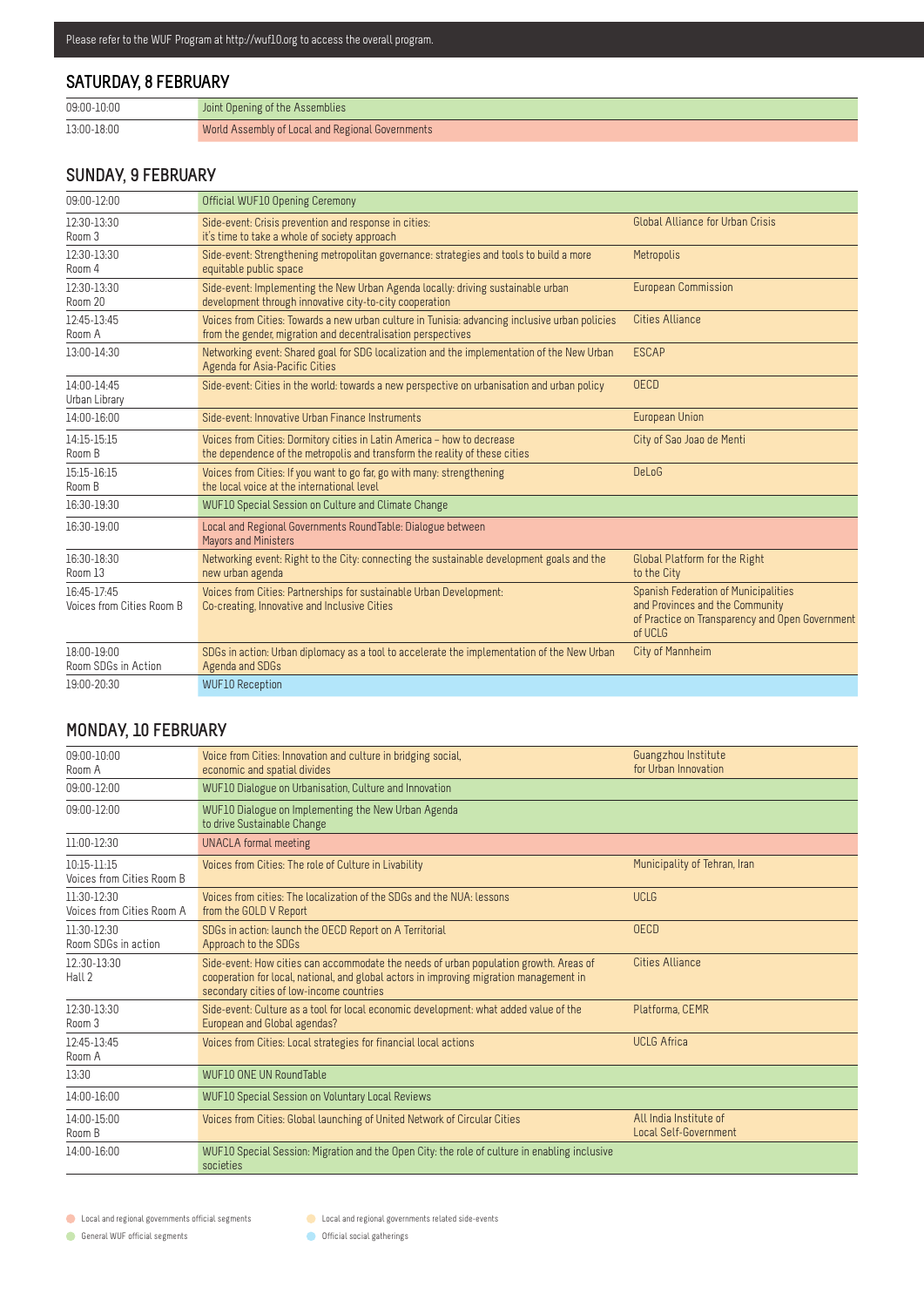#### **SATURDAY, 8 FEBRUARY**

| 09:00-10:00 | Joint Opening of the Assemblies                  |
|-------------|--------------------------------------------------|
| 13:00-18:00 | World Assembly of Local and Regional Governments |

#### **SUNDAY, 9 FEBRUARY**

| 09:00-12:00                              | Official WUF10 Opening Ceremony                                                                                                                                |                                                                                                                                              |
|------------------------------------------|----------------------------------------------------------------------------------------------------------------------------------------------------------------|----------------------------------------------------------------------------------------------------------------------------------------------|
| 12:30-13:30<br>Room 3                    | Side-event: Crisis prevention and response in cities:<br>it's time to take a whole of society approach                                                         | Global Alliance for Urban Crisis                                                                                                             |
| 12:30-13:30<br>Room 4                    | Side-event: Strengthening metropolitan governance: strategies and tools to build a more<br>equitable public space                                              | Metropolis                                                                                                                                   |
| 12:30-13:30<br>Room 20                   | Side-event: Implementing the New Urban Agenda locally: driving sustainable urban<br>development through innovative city-to-city cooperation                    | <b>European Commission</b>                                                                                                                   |
| 12:45-13:45<br>Room A                    | Voices from Cities: Towards a new urban culture in Tunisia: advancing inclusive urban policies<br>from the gender, migration and decentralisation perspectives | <b>Cities Alliance</b>                                                                                                                       |
| 13:00-14:30                              | Networking event: Shared goal for SDG localization and the implementation of the New Urban<br>Agenda for Asia-Pacific Cities                                   | <b>ESCAP</b>                                                                                                                                 |
| 14:00-14:45<br>Urban Library             | Side-event: Cities in the world: towards a new perspective on urbanisation and urban policy                                                                    | <b>OECD</b>                                                                                                                                  |
| 14:00-16:00                              | Side-event: Innovative Urban Finance Instruments                                                                                                               | <b>European Union</b>                                                                                                                        |
| 14:15-15:15<br>Room B                    | Voices from Cities: Dormitory cities in Latin America - how to decrease<br>the dependence of the metropolis and transform the reality of these cities          | City of Sao Joao de Menti                                                                                                                    |
| 15:15-16:15<br>Room B                    | Voices from Cities: If you want to go far, go with many: strengthening<br>the local voice at the international level                                           | <b>DeLoG</b>                                                                                                                                 |
| 16:30-19:30                              | WUF10 Special Session on Culture and Climate Change                                                                                                            |                                                                                                                                              |
| 16:30-19:00                              | Local and Regional Governments RoundTable: Dialogue between<br><b>Mayors and Ministers</b>                                                                     |                                                                                                                                              |
| 16:30-18:30<br>Room 13                   | Networking event: Right to the City: connecting the sustainable development goals and the<br>new urban agenda                                                  | Global Platform for the Right<br>to the City                                                                                                 |
| 16:45-17:45<br>Voices from Cities Room B | Voices from Cities: Partnerships for sustainable Urban Development:<br>Co-creating, Innovative and Inclusive Cities                                            | <b>Spanish Federation of Municipalities</b><br>and Provinces and the Community<br>of Practice on Transparency and Open Government<br>of UCLG |
| $18.00 - 19.00$<br>Room SDGs in Action   | SDGs in action: Urban diplomacy as a tool to accelerate the implementation of the New Urban<br>Agenda and SDGs                                                 | City of Mannheim                                                                                                                             |
| 19:00-20:30                              | <b>WUF10 Reception</b>                                                                                                                                         |                                                                                                                                              |

#### **MONDAY, 10 FEBRUARY**

| $09:00 - 10:00$<br>Room A                    | Voice from Cities: Innovation and culture in bridging social.<br>economic and spatial divides                                                                                                                                | Guangzhou Institute<br>for Urban Innovation     |
|----------------------------------------------|------------------------------------------------------------------------------------------------------------------------------------------------------------------------------------------------------------------------------|-------------------------------------------------|
| 09:00-12:00                                  | WUF10 Dialogue on Urbanisation, Culture and Innovation                                                                                                                                                                       |                                                 |
| 09:00-12:00                                  | WUF10 Dialogue on Implementing the New Urban Agenda<br>to drive Sustainable Change                                                                                                                                           |                                                 |
| $11:00-12:30$                                | UNACLA formal meeting                                                                                                                                                                                                        |                                                 |
| $10:15 - 11:15$<br>Voices from Cities Room B | Voices from Cities: The role of Culture in Livability                                                                                                                                                                        | Municipality of Tehran, Iran                    |
| $11:30-12:30$<br>Voices from Cities Room A   | Voices from cities: The localization of the SDGs and the NUA: lessons<br>from the GOLD V Report                                                                                                                              | <b>UCLG</b>                                     |
| $11:30-12:30$<br>Room SDGs in action         | SDGs in action: launch the OECD Report on A Territorial<br>Approach to the SDGs                                                                                                                                              | <b>OECD</b>                                     |
| 12:30-13:30<br>Hall 2                        | Side-event: How cities can accommodate the needs of urban population growth. Areas of<br>cooperation for local, national, and global actors in improving migration management in<br>secondary cities of low-income countries | <b>Cities Alliance</b>                          |
| 12:30-13:30<br>Room 3                        | Side-event: Culture as a tool for local economic development: what added value of the<br>European and Global agendas?                                                                                                        | Platforma, CEMR                                 |
| 12:45-13:45<br>Room A                        | Voices from Cities: Local strategies for financial local actions                                                                                                                                                             | <b>UCLG Africa</b>                              |
| 13:30                                        | <b>WUF10 ONE UN RoundTable</b>                                                                                                                                                                                               |                                                 |
| 14:00-16:00                                  | <b>WUF10 Special Session on Voluntary Local Reviews</b>                                                                                                                                                                      |                                                 |
| 14:00-15:00<br>Room B                        | Voices from Cities: Global launching of United Network of Circular Cities                                                                                                                                                    | All India Institute of<br>Local Self-Government |
| 14:00-16:00                                  | WUF10 Special Session: Migration and the Open City: the role of culture in enabling inclusive<br>societies                                                                                                                   |                                                 |

**C** Local and regional governments official segments

General WUF official segments

**C** Local and regional governments related side-events

**Official social gatherings**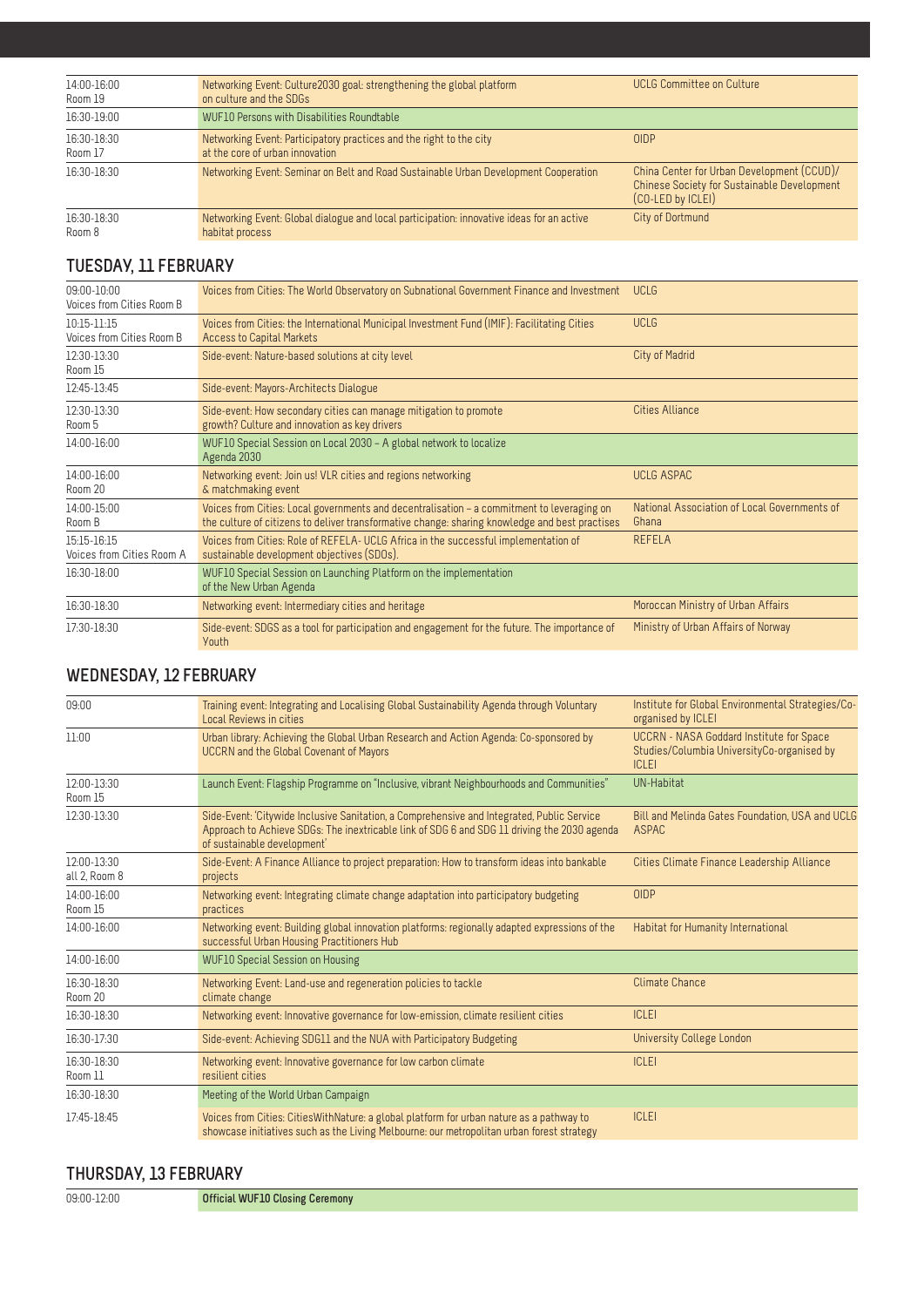| 14:00-16:00<br>Room 19 | Networking Event: Culture 2030 goal: strengthening the global platform<br>on culture and the SDGs            | <b>UCLG Committee on Culture</b>                                                                               |
|------------------------|--------------------------------------------------------------------------------------------------------------|----------------------------------------------------------------------------------------------------------------|
| 16:30-19:00            | WUF10 Persons with Disabilities Roundtable                                                                   |                                                                                                                |
| 16:30-18:30<br>Room 17 | Networking Event: Participatory practices and the right to the city<br>at the core of urban innovation       | <b>OIDP</b>                                                                                                    |
| 16:30-18:30            | Networking Event: Seminar on Belt and Road Sustainable Urban Development Cooperation                         | China Center for Urban Development (CCUD)/<br>Chinese Society for Sustainable Development<br>(CO-LED by ICLEI) |
| 16:30-18:30<br>Room 8  | Networking Event: Global dialogue and local participation: innovative ideas for an active<br>habitat process | City of Dortmund                                                                                               |

#### **TUESDAY, 11 FEBRUARY**

| $09:00 - 10:00$<br>Voices from Cities Room B | Voices from Cities: The World Observatory on Subnational Government Finance and Investment                                                                                                   | <b>UCLG</b>                                           |
|----------------------------------------------|----------------------------------------------------------------------------------------------------------------------------------------------------------------------------------------------|-------------------------------------------------------|
| $10:15-11:15$<br>Voices from Cities Room B   | Voices from Cities: the International Municipal Investment Fund (IMIF): Facilitating Cities<br><b>Access to Capital Markets</b>                                                              | <b>UCLG</b>                                           |
| 12:30-13:30<br>Room 15                       | Side-event: Nature-based solutions at city level                                                                                                                                             | City of Madrid                                        |
| 12:45-13:45                                  | Side-event: Mayors-Architects Dialogue                                                                                                                                                       |                                                       |
| 12:30-13:30<br>Room 5                        | Side-event: How secondary cities can manage mitigation to promote<br>growth? Culture and innovation as key drivers                                                                           | <b>Cities Alliance</b>                                |
| 14:00-16:00                                  | WUF10 Special Session on Local 2030 - A global network to localize<br>Agenda 2030                                                                                                            |                                                       |
| 14:00-16:00<br>Room 20                       | Networking event: Join us! VLR cities and regions networking<br>& matchmaking event                                                                                                          | <b>UCLG ASPAC</b>                                     |
| 14:00-15:00<br>Room B                        | Voices from Cities: Local governments and decentralisation - a commitment to leveraging on<br>the culture of citizens to deliver transformative change: sharing knowledge and best practises | National Association of Local Governments of<br>Ghana |
| 15:15-16:15<br>Voices from Cities Room A     | Voices from Cities: Role of REFELA- UCLG Africa in the successful implementation of<br>sustainable development objectives (SDOs).                                                            | <b>REFELA</b>                                         |
| 16:30-18:00                                  | WUF10 Special Session on Launching Platform on the implementation<br>of the New Urban Agenda                                                                                                 |                                                       |
| 16:30-18:30                                  | Networking event: Intermediary cities and heritage                                                                                                                                           | Moroccan Ministry of Urban Affairs                    |
| 17:30-18:30                                  | Side-event: SDGS as a tool for participation and engagement for the future. The importance of<br><b>Youth</b>                                                                                | Ministry of Urban Affairs of Norway                   |

#### **WEDNESDAY, 12 FEBRUARY**

| 09:00                        | Training event: Integrating and Localising Global Sustainability Agenda through Voluntary<br>Local Reviews in cities                                                                                                     | Institute for Global Environmental Strategies/Co-<br>organised by ICLEI                                       |
|------------------------------|--------------------------------------------------------------------------------------------------------------------------------------------------------------------------------------------------------------------------|---------------------------------------------------------------------------------------------------------------|
| 11:00                        | Urban library: Achieving the Global Urban Research and Action Agenda: Co-sponsored by<br><b>UCCRN</b> and the Global Covenant of Mayors                                                                                  | <b>UCCRN - NASA Goddard Institute for Space</b><br>Studies/Columbia UniversityCo-organised by<br><b>ICLEI</b> |
| 12:00-13:30<br>Room 15       | Launch Event: Flagship Programme on "Inclusive, vibrant Neighbourhoods and Communities"                                                                                                                                  | UN-Habitat                                                                                                    |
| 12:30-13:30                  | Side-Event: 'Citywide Inclusive Sanitation, a Comprehensive and Integrated, Public Service<br>Approach to Achieve SDGs: The inextricable link of SDG 6 and SDG 11 driving the 2030 agenda<br>of sustainable development' | Bill and Melinda Gates Foundation, USA and UCLG<br>ASPAC                                                      |
| 12:00-13:30<br>all 2, Room 8 | Side-Event: A Finance Alliance to project preparation: How to transform ideas into bankable<br>projects                                                                                                                  | Cities Climate Finance Leadership Alliance                                                                    |
| 14:00-16:00<br>Room 15       | Networking event: Integrating climate change adaptation into participatory budgeting<br>practices                                                                                                                        | <b>OIDP</b>                                                                                                   |
| 14:00-16:00                  | Networking event: Building global innovation platforms: regionally adapted expressions of the<br>successful Urban Housing Practitioners Hub                                                                              | Habitat for Humanity International                                                                            |
| 14:00-16:00                  | <b>WUF10 Special Session on Housing</b>                                                                                                                                                                                  |                                                                                                               |
| 16:30-18:30<br>Room 20       | Networking Event: Land-use and regeneration policies to tackle<br>climate change                                                                                                                                         | Climate Chance                                                                                                |
| 16:30-18:30                  | Networking event: Innovative governance for low-emission, climate resilient cities                                                                                                                                       | <b>ICLEI</b>                                                                                                  |
| 16:30-17:30                  | Side-event: Achieving SDG11 and the NUA with Participatory Budgeting                                                                                                                                                     | University College London                                                                                     |
| 16:30-18:30<br>Room 11       | Networking event: Innovative governance for low carbon climate<br>resilient cities                                                                                                                                       | <b>ICLEI</b>                                                                                                  |
| 16:30-18:30                  | Meeting of the World Urban Campaign                                                                                                                                                                                      |                                                                                                               |
| 17:45-18:45                  | Voices from Cities: Cities With Nature: a global platform for urban nature as a pathway to<br>showcase initiatives such as the Living Melbourne: our metropolitan urban forest strategy                                  | <b>ICLEI</b>                                                                                                  |

#### **THURSDAY, 13 FEBRUARY**